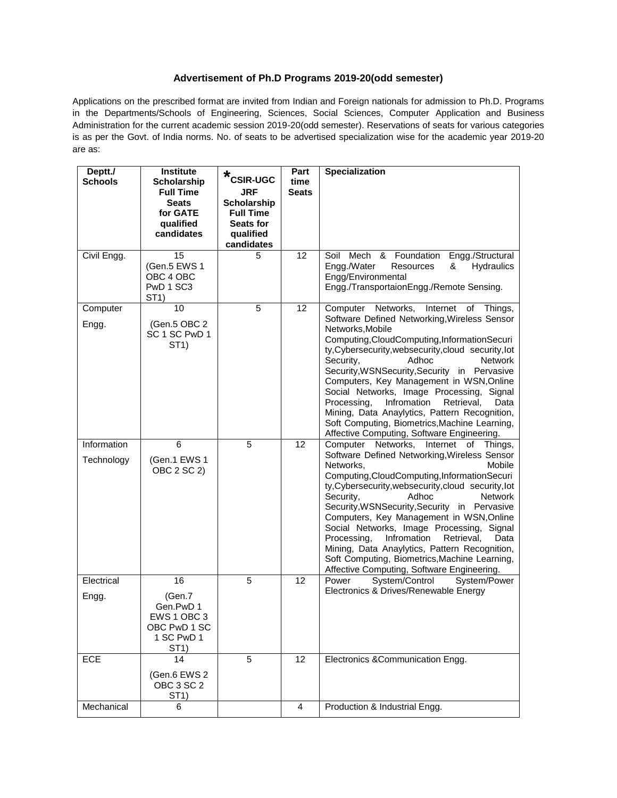## **Advertisement of Ph.D Programs 2019-20(odd semester)**

Applications on the prescribed format are invited from Indian and Foreign nationals for admission to Ph.D. Programs in the Departments/Schools of Engineering, Sciences, Social Sciences, Computer Application and Business Administration for the current academic session 2019-20(odd semester). Reservations of seats for various categories is as per the Govt. of India norms. No. of seats to be advertised specialization wise for the academic year 2019-20 are as:

| Deptt./        | Institute                                                                              | *<br><b>CSIR-UGC</b>                   | Part                 | <b>Specialization</b>                                                                                                                                                                                                                                                                                                                                                                                                                                                                                                                                           |
|----------------|----------------------------------------------------------------------------------------|----------------------------------------|----------------------|-----------------------------------------------------------------------------------------------------------------------------------------------------------------------------------------------------------------------------------------------------------------------------------------------------------------------------------------------------------------------------------------------------------------------------------------------------------------------------------------------------------------------------------------------------------------|
| <b>Schools</b> | Scholarship<br><b>Full Time</b>                                                        | <b>JRF</b>                             | time<br><b>Seats</b> |                                                                                                                                                                                                                                                                                                                                                                                                                                                                                                                                                                 |
|                | <b>Seats</b><br>for GATE                                                               | <b>Scholarship</b><br><b>Full Time</b> |                      |                                                                                                                                                                                                                                                                                                                                                                                                                                                                                                                                                                 |
|                | qualified                                                                              | Seats for                              |                      |                                                                                                                                                                                                                                                                                                                                                                                                                                                                                                                                                                 |
|                | candidates                                                                             | qualified<br>candidates                |                      |                                                                                                                                                                                                                                                                                                                                                                                                                                                                                                                                                                 |
| Civil Engg.    | 15<br>(Gen.5 EWS 1<br>OBC 4 OBC<br>PwD 1 SC3<br>ST1)                                   | 5                                      | 12                   | Soil Mech & Foundation<br>Engg./Structural<br>Engg./Water<br>Hydraulics<br><b>Resources</b><br>&<br>Engg/Environmental<br>Engg./TransportaionEngg./Remote Sensing.                                                                                                                                                                                                                                                                                                                                                                                              |
| Computer       | 10                                                                                     | 5                                      | 12                   | Computer Networks,<br>Internet of Things,                                                                                                                                                                                                                                                                                                                                                                                                                                                                                                                       |
| Engg.          | (Gen.5 OBC 2<br>SC 1 SC PwD 1<br>ST <sub>1</sub> )                                     |                                        |                      | Software Defined Networking, Wireless Sensor<br>Networks, Mobile<br>Computing, CloudComputing, InformationSecuri<br>ty, Cybersecurity, websecurity, cloud security, lot<br>Adhoc<br>Security,<br><b>Network</b><br>Security, WSNSecurity, Security in Pervasive<br>Computers, Key Management in WSN, Online<br>Social Networks, Image Processing, Signal<br>Infromation<br>Processing,<br>Retrieval,<br>Data<br>Mining, Data Anaylytics, Pattern Recognition,<br>Soft Computing, Biometrics, Machine Learning,<br>Affective Computing, Software Engineering.    |
| Information    | 6                                                                                      | 5                                      | 12                   | Networks,<br>Computer<br>Internet<br>of<br>Things,                                                                                                                                                                                                                                                                                                                                                                                                                                                                                                              |
| Technology     | (Gen.1 EWS 1<br>OBC 2 SC 2)                                                            |                                        |                      | Software Defined Networking, Wireless Sensor<br>Mobile<br>Networks,<br>Computing, CloudComputing, InformationSecuri<br>ty, Cybersecurity, websecurity, cloud security, lot<br>Security,<br>Adhoc<br><b>Network</b><br>Security, WSNSecurity, Security in Pervasive<br>Computers, Key Management in WSN, Online<br>Social Networks, Image Processing, Signal<br>Infromation<br>Processing,<br>Retrieval,<br>Data<br>Mining, Data Anaylytics, Pattern Recognition,<br>Soft Computing, Biometrics, Machine Learning,<br>Affective Computing, Software Engineering. |
| Electrical     | 16                                                                                     | 5                                      | 12                   | System/Control<br>System/Power<br>Power<br>Electronics & Drives/Renewable Energy                                                                                                                                                                                                                                                                                                                                                                                                                                                                                |
| Engg.          | (Gen.7)<br>Gen.PwD 1<br>EWS 1 OBC 3<br>OBC PwD 1 SC<br>1 SC PwD 1<br>ST <sub>1</sub> ) |                                        |                      |                                                                                                                                                                                                                                                                                                                                                                                                                                                                                                                                                                 |
| <b>ECE</b>     | 14                                                                                     | 5                                      | 12                   | Electronics &Communication Engg.                                                                                                                                                                                                                                                                                                                                                                                                                                                                                                                                |
|                | (Gen.6 EWS 2<br>OBC 3 SC 2<br>ST1)                                                     |                                        |                      |                                                                                                                                                                                                                                                                                                                                                                                                                                                                                                                                                                 |
| Mechanical     | 6                                                                                      |                                        | 4                    | Production & Industrial Engg.                                                                                                                                                                                                                                                                                                                                                                                                                                                                                                                                   |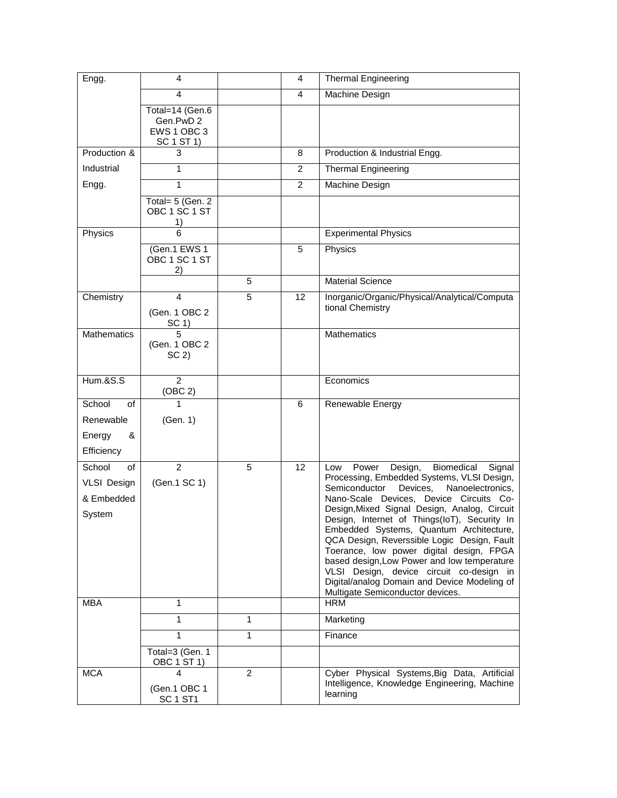| Engg.               | 4                                       |                | 4              | <b>Thermal Engineering</b>                                                                  |
|---------------------|-----------------------------------------|----------------|----------------|---------------------------------------------------------------------------------------------|
|                     | 4                                       |                | 4              | Machine Design                                                                              |
|                     | Total=14 (Gen.6                         |                |                |                                                                                             |
|                     | Gen.PwD 2<br>EWS 1 OBC 3                |                |                |                                                                                             |
|                     | SC 1 ST 1)                              |                |                |                                                                                             |
| Production &        | 3                                       |                | 8              | Production & Industrial Engg.                                                               |
| Industrial          | 1                                       |                | $\overline{c}$ | <b>Thermal Engineering</b>                                                                  |
| Engg.               | 1                                       |                | $\overline{2}$ | Machine Design                                                                              |
|                     | Total= 5 (Gen. 2<br>OBC 1 SC 1 ST<br>1) |                |                |                                                                                             |
| Physics             | 6                                       |                |                | <b>Experimental Physics</b>                                                                 |
|                     | (Gen.1 EWS 1<br>OBC 1 SC 1 ST<br>2)     |                | 5              | Physics                                                                                     |
|                     |                                         | 5              |                | <b>Material Science</b>                                                                     |
| Chemistry           | 4                                       | 5              | 12             | Inorganic/Organic/Physical/Analytical/Computa                                               |
|                     | (Gen. 1 OBC 2                           |                |                | tional Chemistry                                                                            |
| Mathematics         | SC 1)<br>5                              |                |                | <b>Mathematics</b>                                                                          |
|                     | (Gen. 1 OBC 2<br>SC <sub>2</sub>        |                |                |                                                                                             |
|                     |                                         |                |                |                                                                                             |
| <b>Hum.&amp;S.S</b> | $\mathcal{P}$<br>(OBC 2)                |                |                | Economics                                                                                   |
| School<br>of        | 1                                       |                | 6              | Renewable Energy                                                                            |
| Renewable           | (Gen. 1)                                |                |                |                                                                                             |
| Energy<br>&         |                                         |                |                |                                                                                             |
| Efficiency          |                                         |                |                |                                                                                             |
| School<br>of        | $\overline{2}$                          | 5              | 12             | Design,<br>Biomedical<br>Signal<br>Power<br>Low                                             |
| <b>VLSI Design</b>  | (Gen.1 SC 1)                            |                |                | Processing, Embedded Systems, VLSI Design,<br>Semiconductor<br>Devices.<br>Nanoelectronics, |
| & Embedded          |                                         |                |                | Nano-Scale Devices, Device Circuits Co-                                                     |
| System              |                                         |                |                | Design, Mixed Signal Design, Analog, Circuit                                                |
|                     |                                         |                |                | Design, Internet of Things(IoT), Security In<br>Embedded Systems, Quantum Architecture,     |
|                     |                                         |                |                | QCA Design, Reverssible Logic Design, Fault                                                 |
|                     |                                         |                |                | Toerance, low power digital design, FPGA<br>based design, Low Power and low temperature     |
|                     |                                         |                |                | VLSI Design, device circuit co-design in                                                    |
|                     |                                         |                |                | Digital/analog Domain and Device Modeling of                                                |
| <b>MBA</b>          | 1                                       |                |                | Multigate Semiconductor devices.<br><b>HRM</b>                                              |
|                     | 1                                       | 1              |                | Marketing                                                                                   |
|                     | 1                                       | 1              |                | Finance                                                                                     |
|                     | Total=3 (Gen. 1<br>OBC 1 ST 1)          |                |                |                                                                                             |
| <b>MCA</b>          | $\overline{\mathbf{4}}$                 | $\overline{2}$ |                | Cyber Physical Systems, Big Data, Artificial                                                |
|                     | (Gen.1 OBC 1                            |                |                | Intelligence, Knowledge Engineering, Machine<br>learning                                    |
|                     | SC <sub>1</sub> ST <sub>1</sub>         |                |                |                                                                                             |